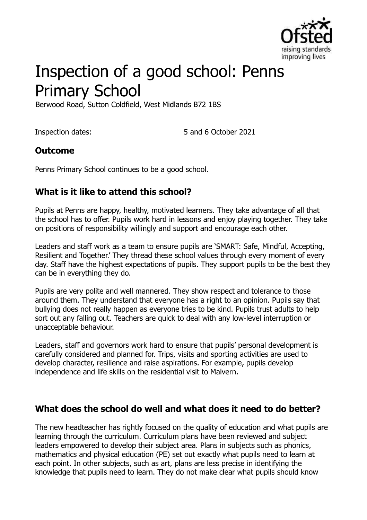

# Inspection of a good school: Penns Primary School

Berwood Road, Sutton Coldfield, West Midlands B72 1BS

Inspection dates: 5 and 6 October 2021

#### **Outcome**

Penns Primary School continues to be a good school.

## **What is it like to attend this school?**

Pupils at Penns are happy, healthy, motivated learners. They take advantage of all that the school has to offer. Pupils work hard in lessons and enjoy playing together. They take on positions of responsibility willingly and support and encourage each other.

Leaders and staff work as a team to ensure pupils are 'SMART: Safe, Mindful, Accepting, Resilient and Together.' They thread these school values through every moment of every day. Staff have the highest expectations of pupils. They support pupils to be the best they can be in everything they do.

Pupils are very polite and well mannered. They show respect and tolerance to those around them. They understand that everyone has a right to an opinion. Pupils say that bullying does not really happen as everyone tries to be kind. Pupils trust adults to help sort out any falling out. Teachers are quick to deal with any low-level interruption or unacceptable behaviour.

Leaders, staff and governors work hard to ensure that pupils' personal development is carefully considered and planned for. Trips, visits and sporting activities are used to develop character, resilience and raise aspirations. For example, pupils develop independence and life skills on the residential visit to Malvern.

#### **What does the school do well and what does it need to do better?**

The new headteacher has rightly focused on the quality of education and what pupils are learning through the curriculum. Curriculum plans have been reviewed and subject leaders empowered to develop their subject area. Plans in subjects such as phonics, mathematics and physical education (PE) set out exactly what pupils need to learn at each point. In other subjects, such as art, plans are less precise in identifying the knowledge that pupils need to learn. They do not make clear what pupils should know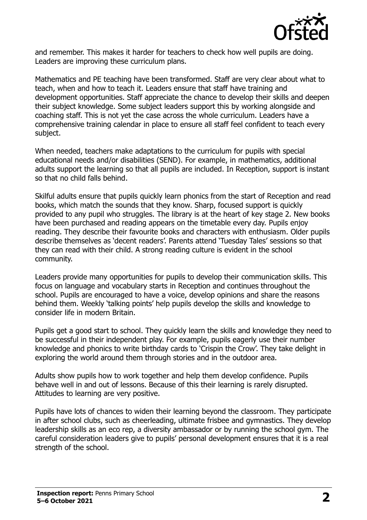

and remember. This makes it harder for teachers to check how well pupils are doing. Leaders are improving these curriculum plans.

Mathematics and PE teaching have been transformed. Staff are very clear about what to teach, when and how to teach it. Leaders ensure that staff have training and development opportunities. Staff appreciate the chance to develop their skills and deepen their subject knowledge. Some subject leaders support this by working alongside and coaching staff. This is not yet the case across the whole curriculum. Leaders have a comprehensive training calendar in place to ensure all staff feel confident to teach every subject.

When needed, teachers make adaptations to the curriculum for pupils with special educational needs and/or disabilities (SEND). For example, in mathematics, additional adults support the learning so that all pupils are included. In Reception, support is instant so that no child falls behind.

Skilful adults ensure that pupils quickly learn phonics from the start of Reception and read books, which match the sounds that they know. Sharp, focused support is quickly provided to any pupil who struggles. The library is at the heart of key stage 2. New books have been purchased and reading appears on the timetable every day. Pupils enjoy reading. They describe their favourite books and characters with enthusiasm. Older pupils describe themselves as 'decent readers'. Parents attend 'Tuesday Tales' sessions so that they can read with their child. A strong reading culture is evident in the school community.

Leaders provide many opportunities for pupils to develop their communication skills. This focus on language and vocabulary starts in Reception and continues throughout the school. Pupils are encouraged to have a voice, develop opinions and share the reasons behind them. Weekly 'talking points' help pupils develop the skills and knowledge to consider life in modern Britain.

Pupils get a good start to school. They quickly learn the skills and knowledge they need to be successful in their independent play. For example, pupils eagerly use their number knowledge and phonics to write birthday cards to 'Crispin the Crow'. They take delight in exploring the world around them through stories and in the outdoor area.

Adults show pupils how to work together and help them develop confidence. Pupils behave well in and out of lessons. Because of this their learning is rarely disrupted. Attitudes to learning are very positive.

Pupils have lots of chances to widen their learning beyond the classroom. They participate in after school clubs, such as cheerleading, ultimate frisbee and gymnastics. They develop leadership skills as an eco rep, a diversity ambassador or by running the school gym. The careful consideration leaders give to pupils' personal development ensures that it is a real strength of the school.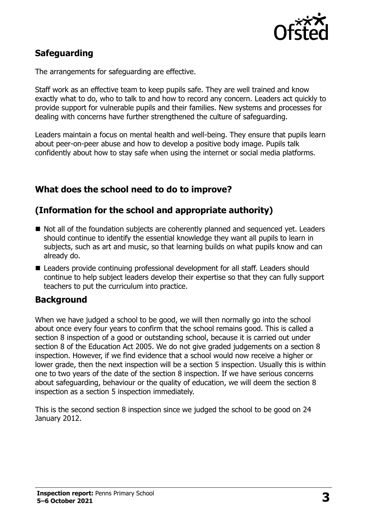

## **Safeguarding**

The arrangements for safeguarding are effective.

Staff work as an effective team to keep pupils safe. They are well trained and know exactly what to do, who to talk to and how to record any concern. Leaders act quickly to provide support for vulnerable pupils and their families. New systems and processes for dealing with concerns have further strengthened the culture of safeguarding.

Leaders maintain a focus on mental health and well-being. They ensure that pupils learn about peer-on-peer abuse and how to develop a positive body image. Pupils talk confidently about how to stay safe when using the internet or social media platforms.

## **What does the school need to do to improve?**

### **(Information for the school and appropriate authority)**

- Not all of the foundation subjects are coherently planned and sequenced yet. Leaders should continue to identify the essential knowledge they want all pupils to learn in subjects, such as art and music, so that learning builds on what pupils know and can already do.
- Leaders provide continuing professional development for all staff. Leaders should continue to help subject leaders develop their expertise so that they can fully support teachers to put the curriculum into practice.

#### **Background**

When we have judged a school to be good, we will then normally go into the school about once every four years to confirm that the school remains good. This is called a section 8 inspection of a good or outstanding school, because it is carried out under section 8 of the Education Act 2005. We do not give graded judgements on a section 8 inspection. However, if we find evidence that a school would now receive a higher or lower grade, then the next inspection will be a section 5 inspection. Usually this is within one to two years of the date of the section 8 inspection. If we have serious concerns about safeguarding, behaviour or the quality of education, we will deem the section 8 inspection as a section 5 inspection immediately.

This is the second section 8 inspection since we judged the school to be good on 24 January 2012.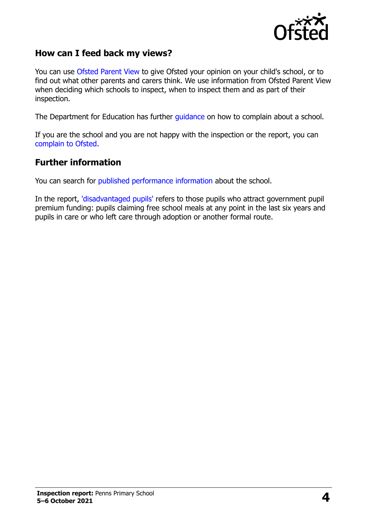

#### **How can I feed back my views?**

You can use [Ofsted Parent View](https://parentview.ofsted.gov.uk/) to give Ofsted your opinion on your child's school, or to find out what other parents and carers think. We use information from Ofsted Parent View when deciding which schools to inspect, when to inspect them and as part of their inspection.

The Department for Education has further [guidance](http://www.gov.uk/complain-about-school) on how to complain about a school.

If you are the school and you are not happy with the inspection or the report, you can [complain to Ofsted.](https://www.gov.uk/complain-ofsted-report)

#### **Further information**

You can search for [published performance information](http://www.compare-school-performance.service.gov.uk/) about the school.

In the report, ['disadvantaged pupils'](http://www.gov.uk/guidance/pupil-premium-information-for-schools-and-alternative-provision-settings) refers to those pupils who attract government pupil premium funding: pupils claiming free school meals at any point in the last six years and pupils in care or who left care through adoption or another formal route.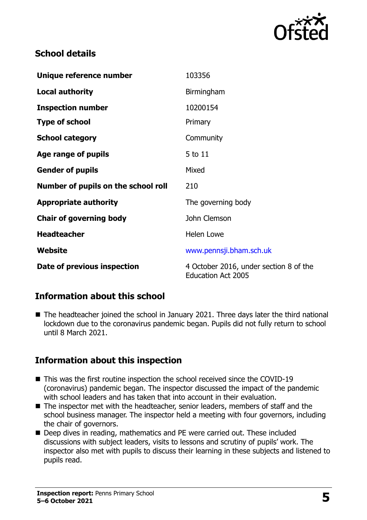

## **School details**

| Unique reference number             | 103356                                                              |
|-------------------------------------|---------------------------------------------------------------------|
| <b>Local authority</b>              | Birmingham                                                          |
| <b>Inspection number</b>            | 10200154                                                            |
| <b>Type of school</b>               | Primary                                                             |
| <b>School category</b>              | Community                                                           |
| Age range of pupils                 | 5 to 11                                                             |
| <b>Gender of pupils</b>             | Mixed                                                               |
| Number of pupils on the school roll | 210                                                                 |
| <b>Appropriate authority</b>        | The governing body                                                  |
| <b>Chair of governing body</b>      | John Clemson                                                        |
| <b>Headteacher</b>                  | <b>Helen Lowe</b>                                                   |
| Website                             | www.pennsji.bham.sch.uk                                             |
| Date of previous inspection         | 4 October 2016, under section 8 of the<br><b>Education Act 2005</b> |

## **Information about this school**

■ The headteacher joined the school in January 2021. Three days later the third national lockdown due to the coronavirus pandemic began. Pupils did not fully return to school until 8 March 2021.

## **Information about this inspection**

- This was the first routine inspection the school received since the COVID-19 (coronavirus) pandemic began. The inspector discussed the impact of the pandemic with school leaders and has taken that into account in their evaluation.
- The inspector met with the headteacher, senior leaders, members of staff and the school business manager. The inspector held a meeting with four governors, including the chair of governors.
- Deep dives in reading, mathematics and PE were carried out. These included discussions with subject leaders, visits to lessons and scrutiny of pupils' work. The inspector also met with pupils to discuss their learning in these subjects and listened to pupils read.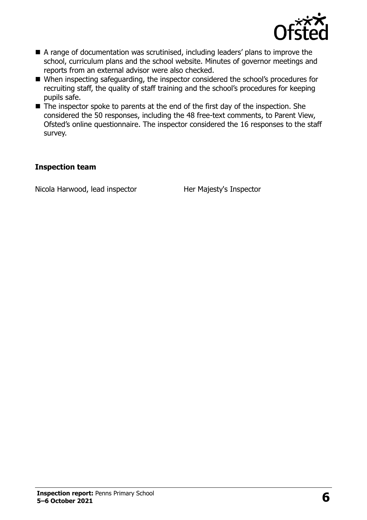

- A range of documentation was scrutinised, including leaders' plans to improve the school, curriculum plans and the school website. Minutes of governor meetings and reports from an external advisor were also checked.
- When inspecting safeguarding, the inspector considered the school's procedures for recruiting staff, the quality of staff training and the school's procedures for keeping pupils safe.
- $\blacksquare$  The inspector spoke to parents at the end of the first day of the inspection. She considered the 50 responses, including the 48 free-text comments, to Parent View, Ofsted's online questionnaire. The inspector considered the 16 responses to the staff survey.

#### **Inspection team**

Nicola Harwood, lead inspector Her Majesty's Inspector